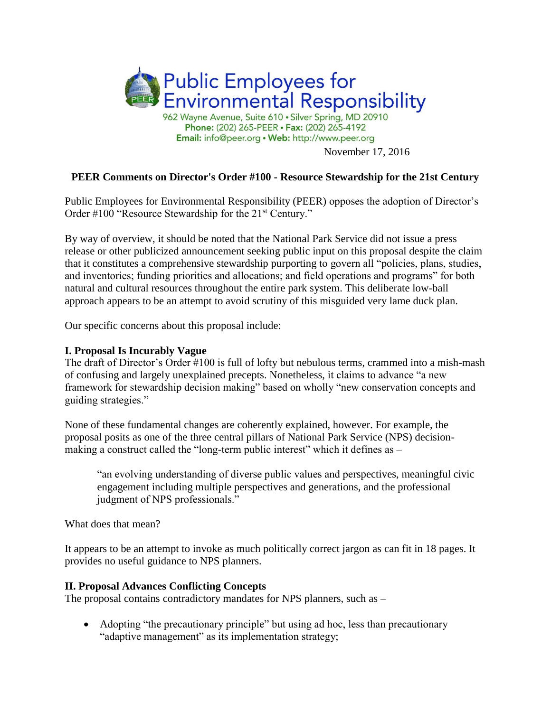

# **PEER Comments on Director's Order #100 - Resource Stewardship for the 21st Century**

Public Employees for Environmental Responsibility (PEER) opposes the adoption of Director's Order #100 "Resource Stewardship for the 21<sup>st</sup> Century."

By way of overview, it should be noted that the National Park Service did not issue a press release or other publicized announcement seeking public input on this proposal despite the claim that it constitutes a comprehensive stewardship purporting to govern all "policies, plans, studies, and inventories; funding priorities and allocations; and field operations and programs" for both natural and cultural resources throughout the entire park system. This deliberate low-ball approach appears to be an attempt to avoid scrutiny of this misguided very lame duck plan.

Our specific concerns about this proposal include:

### **I. Proposal Is Incurably Vague**

The draft of Director's Order #100 is full of lofty but nebulous terms, crammed into a mish-mash of confusing and largely unexplained precepts. Nonetheless, it claims to advance "a new framework for stewardship decision making" based on wholly "new conservation concepts and guiding strategies."

None of these fundamental changes are coherently explained, however. For example, the proposal posits as one of the three central pillars of National Park Service (NPS) decisionmaking a construct called the "long-term public interest" which it defines as –

"an evolving understanding of diverse public values and perspectives, meaningful civic engagement including multiple perspectives and generations, and the professional judgment of NPS professionals."

What does that mean?

It appears to be an attempt to invoke as much politically correct jargon as can fit in 18 pages. It provides no useful guidance to NPS planners.

### **II. Proposal Advances Conflicting Concepts**

The proposal contains contradictory mandates for NPS planners, such as –

• Adopting "the precautionary principle" but using ad hoc, less than precautionary "adaptive management" as its implementation strategy;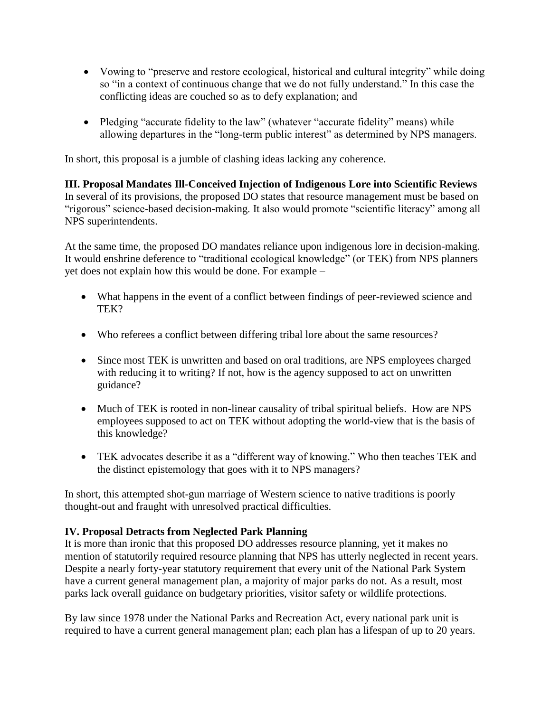- Vowing to "preserve and restore ecological, historical and cultural integrity" while doing so "in a context of continuous change that we do not fully understand." In this case the conflicting ideas are couched so as to defy explanation; and
- Pledging "accurate fidelity to the law" (whatever "accurate fidelity" means) while allowing departures in the "long-term public interest" as determined by NPS managers.

In short, this proposal is a jumble of clashing ideas lacking any coherence.

**III. Proposal Mandates Ill-Conceived Injection of Indigenous Lore into Scientific Reviews** In several of its provisions, the proposed DO states that resource management must be based on "rigorous" science-based decision-making. It also would promote "scientific literacy" among all NPS superintendents.

At the same time, the proposed DO mandates reliance upon indigenous lore in decision-making. It would enshrine deference to "traditional ecological knowledge" (or TEK) from NPS planners yet does not explain how this would be done. For example –

- What happens in the event of a conflict between findings of peer-reviewed science and TEK?
- Who referees a conflict between differing tribal lore about the same resources?
- Since most TEK is unwritten and based on oral traditions, are NPS employees charged with reducing it to writing? If not, how is the agency supposed to act on unwritten guidance?
- Much of TEK is rooted in non-linear causality of tribal spiritual beliefs. How are NPS employees supposed to act on TEK without adopting the world-view that is the basis of this knowledge?
- TEK advocates describe it as a "different way of knowing." Who then teaches TEK and the distinct epistemology that goes with it to NPS managers?

In short, this attempted shot-gun marriage of Western science to native traditions is poorly thought-out and fraught with unresolved practical difficulties.

## **IV. Proposal Detracts from Neglected Park Planning**

It is more than ironic that this proposed DO addresses resource planning, yet it makes no mention of statutorily required resource planning that NPS has utterly neglected in recent years. Despite a nearly forty-year statutory requirement that every unit of the National Park System have a current general management plan, a majority of major parks do not. As a result, most parks lack overall guidance on budgetary priorities, visitor safety or wildlife protections.

By law since 1978 under the National Parks and Recreation Act, every national park unit is required to have a current general management plan; each plan has a lifespan of up to 20 years.